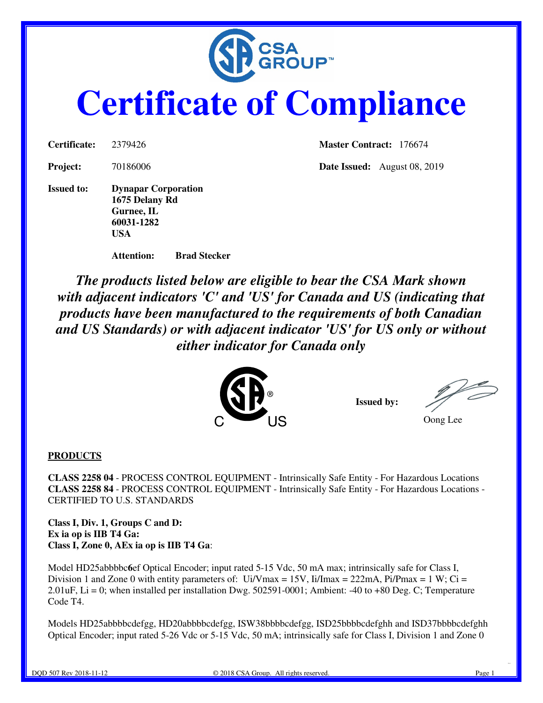

# **Certificate of Compliance**

**Issued to: Dynapar Corporation 1675 Delany Rd Gurnee, IL 60031-1282 USA** 

**Certificate:** 2379426 **Master Contract:** 176674

**Project:** 70186006 **Date Issued:** August 08, 2019

**Attention: Brad Stecker** 

*The products listed below are eligible to bear the CSA Mark shown with adjacent indicators 'C' and 'US' for Canada and US (indicating that products have been manufactured to the requirements of both Canadian and US Standards) or with adjacent indicator 'US' for US only or without either indicator for Canada only* 



**Issued by:** 

Oong Lee

#### **PRODUCTS**

**CLASS 2258 04** - PROCESS CONTROL EQUIPMENT - Intrinsically Safe Entity - For Hazardous Locations **CLASS 2258 84** - PROCESS CONTROL EQUIPMENT - Intrinsically Safe Entity - For Hazardous Locations - CERTIFIED TO U.S. STANDARDS

**Class I, Div. 1, Groups C and D: Ex ia op is IIB T4 Ga: Class I, Zone 0, AEx ia op is IIB T4 Ga**:

Model HD25abbbbc**6**ef Optical Encoder; input rated 5-15 Vdc, 50 mA max; intrinsically safe for Class I, Division 1 and Zone 0 with entity parameters of:  $Ui/V$  max = 15V,  $I i / T$  max = 222mA, Pi/Pmax = 1 W; Ci = 2.01uF, Li = 0; when installed per installation Dwg. 502591-0001; Ambient: -40 to +80 Deg. C; Temperature Code T4.

Models HD25abbbbcdefgg, HD20abbbbcdefgg, ISW38bbbbcdefgg, ISD25bbbbcdefghh and ISD37bbbbcdefghh Optical Encoder; input rated 5-26 Vdc or 5-15 Vdc, 50 mA; intrinsically safe for Class I, Division 1 and Zone 0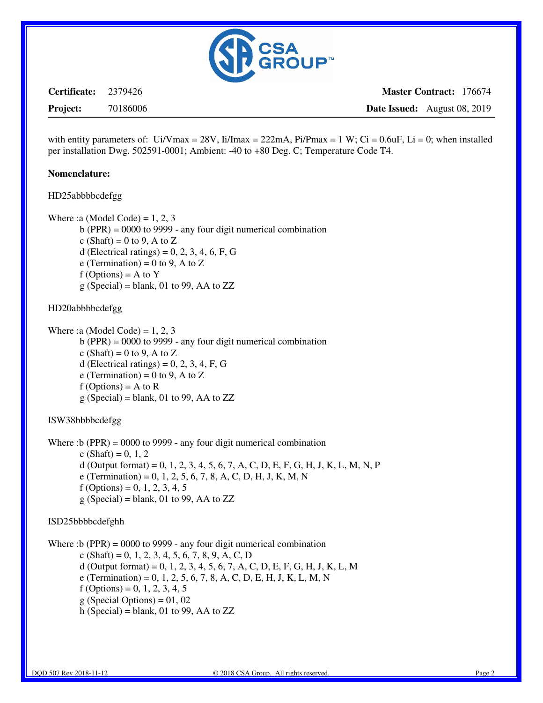

**Certificate:** 2379426

**Master Contract:** 176674 **Date Issued:** August 08, 2019

**Project:** 70186006

with entity parameters of: Ui/Vmax = 28V, Ii/Imax = 222mA, Pi/Pmax = 1 W; Ci = 0.6uF, Li = 0; when installed per installation Dwg. 502591-0001; Ambient: -40 to +80 Deg. C; Temperature Code T4.

#### **Nomenclature:**

HD25abbbbcdefgg

Where :a (Model Code) =  $1, 2, 3$ 

- b (PPR) = 0000 to 9999 any four digit numerical combination
- c (Shaft) = 0 to 9, A to Z
- d (Electrical ratings) =  $0, 2, 3, 4, 6, F, G$
- e (Termination) = 0 to 9, A to Z
- $f$  (Options) = A to Y
- $g$  (Special) = blank, 01 to 99, AA to ZZ

#### HD20abbbbcdefgg

Where :a (Model Code) =  $1, 2, 3$ b (PPR) = 0000 to 9999 - any four digit numerical combination c (Shaft) = 0 to 9, A to Z d (Electrical ratings) =  $0, 2, 3, 4, F, G$ e (Termination) = 0 to 9, A to Z  $f$  (Options) = A to R  $g$  (Special) = blank, 01 to 99, AA to ZZ

#### ISW38bbbbcdefgg

Where :b (PPR) = 0000 to 9999 - any four digit numerical combination  $c$  (Shaft) = 0, 1, 2 d (Output format) = 0, 1, 2, 3, 4, 5, 6, 7, A, C, D, E, F, G, H, J, K, L, M, N, P e (Termination) = 0, 1, 2, 5, 6, 7, 8, A, C, D, H, J, K, M, N  $f$  (Options) = 0, 1, 2, 3, 4, 5  $g$  (Special) = blank, 01 to 99, AA to ZZ

#### ISD25bbbbcdefghh

Where :b (PPR) = 0000 to 9999 - any four digit numerical combination  $c$  (Shaft) = 0, 1, 2, 3, 4, 5, 6, 7, 8, 9, A, C, D d (Output format) = 0, 1, 2, 3, 4, 5, 6, 7, A, C, D, E, F, G, H, J, K, L, M e (Termination) = 0, 1, 2, 5, 6, 7, 8, A, C, D, E, H, J, K, L, M, N  $f$  (Options) = 0, 1, 2, 3, 4, 5  $g$  (Special Options) = 01, 02 h (Special) = blank, 01 to 99, AA to  $ZZ$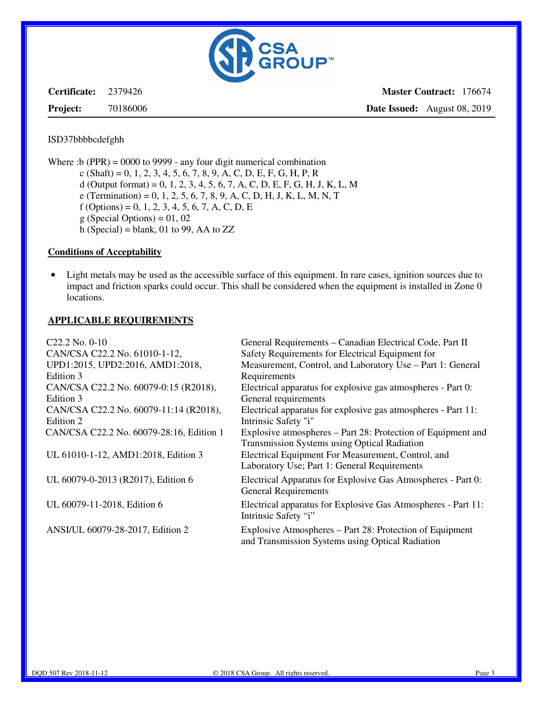

**Certificate:** 2379426

**Project:** 70186006

**Master Contract:** 176674 **Date Issued:** August 08, 2019

#### ISD37bbbbcdefghh

Where :b (PPR) = 0000 to 9999 - any four digit numerical combination

- $c$  (Shaft) = 0, 1, 2, 3, 4, 5, 6, 7, 8, 9, A, C, D, E, F, G, H, P, R
- d (Output format) = 0, 1, 2, 3, 4, 5, 6, 7, A, C, D, E, F, G, H, J, K, L, M
- e (Termination) = 0, 1, 2, 5, 6, 7, 8, 9, A, C, D, H, J, K, L, M, N, T
- $f$  (Options) = 0, 1, 2, 3, 4, 5, 6, 7, A, C, D, E
- $g$  (Special Options) = 01, 02
- h (Special) = blank, 01 to 99, AA to  $ZZ$

## **Conditions of Acceptability**

• Light metals may be used as the accessible surface of this equipment. In rare cases, ignition sources due to impact and friction sparks could occur. This shall be considered when the equipment is installed in Zone 0 locations.

### **APPLICABLE REQUIREMENTS**

| $C22.2$ No. 0-10                         | General Requirements - Canadian Electrical Code, Part II      |
|------------------------------------------|---------------------------------------------------------------|
| CAN/CSA C22.2 No. 61010-1-12,            | Safety Requirements for Electrical Equipment for              |
| UPD1:2015, UPD2:2016, AMD1:2018,         | Measurement, Control, and Laboratory Use - Part 1: General    |
| Edition 3                                | Requirements                                                  |
| CAN/CSA C22.2 No. 60079-0:15 (R2018),    | Electrical apparatus for explosive gas atmospheres - Part 0:  |
| Edition 3                                | General requirements                                          |
| CAN/CSA C22.2 No. 60079-11:14 (R2018),   | Electrical apparatus for explosive gas atmospheres - Part 11: |
| Edition 2                                | Intrinsic Safety "i"                                          |
| CAN/CSA C22.2 No. 60079-28:16, Edition 1 | Explosive atmospheres – Part 28: Protection of Equipment and  |
|                                          | <b>Transmission Systems using Optical Radiation</b>           |
| UL 61010-1-12, AMD1:2018, Edition 3      | Electrical Equipment For Measurement, Control, and            |
|                                          | Laboratory Use; Part 1: General Requirements                  |
| UL 60079-0-2013 (R2017), Edition 6       | Electrical Apparatus for Explosive Gas Atmospheres - Part 0:  |
|                                          | <b>General Requirements</b>                                   |
| UL 60079-11-2018, Edition 6              | Electrical apparatus for Explosive Gas Atmospheres - Part 11: |
|                                          | Intrinsic Safety "i"                                          |
| ANSI/UL 60079-28-2017, Edition 2         | Explosive Atmospheres – Part 28: Protection of Equipment      |
|                                          | and Transmission Systems using Optical Radiation              |
|                                          |                                                               |